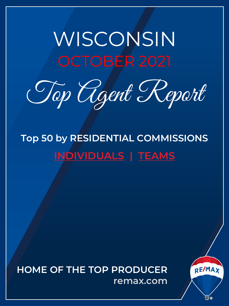# <span id="page-0-0"></span>WISCONSIN OCTOBER 2021

Top Agent Report

**Top 50 by RESIDENTIAL COMMISSIONS INDIVIDUALS | TEAMS**

**HOME OF THE TOP PRODUCER remax.com**

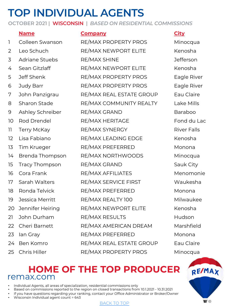# **TOP INDIVIDUAL AGENTS**

**OCTOBER 2021 | WISCONSIN |** *BASED ON RESIDENTIAL COMMISSIONS*

# **Name Company City** 1 Colleen Swanson RE/MAX PROPERTY PROS Minocqua 2 Leo Schuch RE/MAX NEWPORT ELITE Kenosha 3 Adriane Stuebs RE/MAX SHINE Jefferson 4 Sean Gitzlaff RE/MAX NEWPORT ELITE Kenosha 24 Ben Komro RE/MAX REAL ESTATE GROUP Eau Claire

25 Chris Hiller RE/MAX PROPERTY PROS Minocqua

### 5 Jeff Shenk RE/MAX PROPERTY PROS Eagle River 6 Judy Barr RE/MAX PROPERTY PROS Eagle River 7 John Panzigrau RE/MAX REAL ESTATE GROUP Eau Claire 8 Sharon Stade RE/MAX COMMUNITY REALTY Lake Mills 9 Ashley Schreiber RE/MAX GRAND Baraboo 10 Rod Drendel RE/MAX HERITAGE Fond du Lac 11 Terry McKay RE/MAX SYNERGY River Falls 12 Lisa Fabiano RE/MAX LEADING EDGE Kenosha 13 Tim Krueger RE/MAX PREFERRED Monona 14 Brenda Thompson RE/MAX NORTHWOODS Minocqua 15 Tracy Thompson RE/MAX GRAND Sauk City 16 Cora Frank RE/MAX AFFILIATES Menomonie 17 Sarah Walters RE/MAX SERVICE FIRST Waukesha 18 Ronda Telvick RE/MAX PREFERRED Monona 19 Jessica Merritt RE/MAX REALTY 100 Milwaukee 20 Jennifer Heiring RE/MAX NEWPORT ELITE Kenosha 21 John Durham RE/MAX RESULTS Hudson 22 Cheri Barnett RE/MAX AMERICAN DREAM Marshfield 23 Ian Gray RE/MAX PREFERRED Monona

### **HOME OF THE [TOP P](#page-0-0)RODUCER** remax.com

- Individual Agents, all areas of specialization, residential commissions only
- Based on commissions reported to the region on closed transactions from 10.1.2021 10.31.2021
- If you have questions regarding your ranking, contact your Office Administrator or Broker/Owner
- Wisconsin Individual agent count = 643

### BACK TO TOP

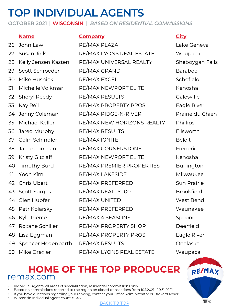# **TOP INDIVIDUAL AGENTS**

**OCTOBER 2021 | WISCONSIN |** *BASED ON RESIDENTIAL COMMISSIONS*

### **Name Company City**

26 John Law RE/MAX PLAZA COMBREAD Lake Geneva 27 Susan Jirik RE/MAX LYONS REAL ESTATE Waupaca 28 Kelly Jensen Kasten RE/MAX UNIVERSAL REALTY Sheboygan Falls 29 Scott Schroeder RE/MAX GRAND Baraboo 30 Mike Husnick RE/MAX EXCEL Schofield 31 Michelle Volkmar RE/MAX NEWPORT ELITE Kenosha 32 Sheryl Reedy RE/MAX RESULTS Galesville 33 Kay Reil **RE/MAX PROPERTY PROS** Eagle River 34 Jenny Coleman RE/MAX RIDGE-N-RIVER Prairie du Chien 35 Michael Keller RE/MAX NEW HORIZONS REALTY Phillips 36 Jared Murphy RE/MAX RESULTS Ellsworth 37 Colin Schindler RE/MAX IGNITE 38 James Tinman RE/MAX CORNERSTONE Frederic 39 Kristy Gitzlaff RE/MAX NEWPORT ELITE Kenosha 40 Timothy Burd RE/MAX PREMIER PROPERTIES Burlington 41 Yoon Kim RE/MAX LAKESIDE Milwaukee 42 Chris Ubert RE/MAX PREFERRED Sun Prairie 43 Scott Surges RE/MAX REALTY 100 Brookfield 44 Glen Hupfer RE/MAX UNITED West Bend 45 Petr Kolarsky RE/MAX PREFERRED Waunakee 46 Kyle Pierce **RE/MAX 4 SEASONS** Spooner 47 Roxane Schiller RE/MAX PROPERTY SHOP Deerfield 48 Lisa Eggman RE/MAX PROPERTY PROS Eagle River 49 Spencer Hegenbarth RE/MAX RESULTS Conalaska 50 Mike Drexler RE/MAX LYONS REAL ESTATE Waupaca

### **HOME OF THE [TOP P](#page-0-0)RODUCER** remax.com

- Individual Agents, all areas of specialization, residential commissions only
- Based on commissions reported to the region on closed transactions from 10.1.2021 10.31.2021
- If you have questions regarding your ranking, contact your Office Administrator or Broker/Owner
- Wisconsin Individual agent count = 643

### BACK TO TOP

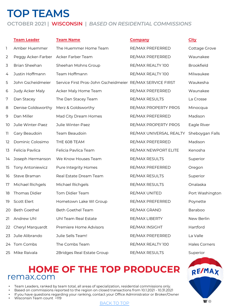# **TOP TEAMS**

### **OCTOBER 2021 | WISCONSIN |** *BASED ON RESIDENTIAL COMMISSIONS*

|    | <b>Team Leader</b>   | <b>Team Name</b>                                          | <b>Company</b>          | <b>City</b>          |
|----|----------------------|-----------------------------------------------------------|-------------------------|----------------------|
| 1  | Amber Huemmer        | The Huemmer Home Team                                     | RE/MAX PREFERRED        | Cottage Grove        |
| 2  | Peggy Acker-Farber   | Acker Farber Team                                         | RE/MAX PREFERRED        | Waunakee             |
| 3  | Brian Sheehan        | Sheehan Mohns Group                                       | RE/MAX REALTY 100       | <b>Brookfield</b>    |
| 4  | Justin Hoffmann      | Team Hoffmann                                             | RE/MAX REALTY 100       | Milwaukee            |
| 5  | John Gscheidmeier    | Service First Pros-John Gscheidmeier RE/MAX SERVICE FIRST |                         | Waukesha             |
| 6  | Judy Acker Maly      | Acker Maly Home Team                                      | RE/MAX PREFERRED        | Waunakee             |
| 7  | Dan Stacey           | The Dan Stacey Team                                       | RE/MAX RESULTS          | La Crosse            |
| 8  | Denise Goldsworthy   | Merz & Goldsworthy                                        | RE/MAX PROPERTY PROS    | Minocqua             |
| 9  | Dan Miller           | Mad City Dream Homes                                      | RE/MAX PREFERRED        | Madison              |
| 10 | Julie Winter-Paez    | Julie Winter-Paez                                         | RE/MAX PROPERTY PROS    | Eagle River          |
| 11 | Gary Beaudoin        | Team Beaudoin                                             | RE/MAX UNIVERSAL REALTY | Sheboygan Falls      |
| 12 | Dominic Colosimo     | THE 608 TEAM                                              | RE/MAX PREFERRED        | Madison              |
| 13 | Felicia Pavlica      | Felicia Pavlica Team                                      | RE/MAX NEWPORT ELITE    | Kenosha              |
| 14 | Joseph Hermanson     | We Know Houses Team                                       | RE/MAX RESULTS          | Superior             |
| 15 | Tony Antoniewicz     | Pure Integrity Homes                                      | RE/MAX PREFERRED        | Oregon               |
| 16 | Steve Braman         | Real Estate Dream Team                                    | RE/MAX RESULTS          | Superior             |
| 17 | Michael Richgels     | Michael Richgels                                          | RE/MAX RESULTS          | Onalaska             |
| 18 | <b>Thomas Didier</b> | Tom Didier Team                                           | RE/MAX UNITED           | Port Washington      |
| 19 | <b>Scott Elert</b>   | Hometown Lake WI Group                                    | RE/MAX PREFERRED        | Poynette             |
| 20 | <b>Beth Goethel</b>  | <b>Beth Goethel Team</b>                                  | RE/MAX GRAND            | <b>Baraboo</b>       |
| 21 | Andrew Uhl           | Uhl Team Real Estate                                      | RE/MAX LIBERTY          | New Berlin           |
| 22 | Cheryl Marquardt     | Premiere Home Advisors                                    | RE/MAX INSIGHT          | Hartford             |
| 23 | Julie Alibrando      | Julie Sells Team!                                         | RE/MAX PREFERRED        | La Valle             |
| 24 | Tom Combs            | The Combs Team                                            | RE/MAX REALTY 100       | <b>Hales Corners</b> |
| 25 | Mike Raivala         | 2Bridges Real Estate Group                                | RE/MAX RESULTS          | Superior             |

### **HOME OF THE [TOP P](#page-0-0)RODUCER** remax.com

• Team Leaders, ranked by team total, all areas of specialization, residential commissions only.

- Based on commissions reported to the region on closed transactions from 10.1.2021 10.31.2021
- If you have questions regarding your ranking, contact your Office Administrator or Broker/Owner
- Wisconsin Team count =119